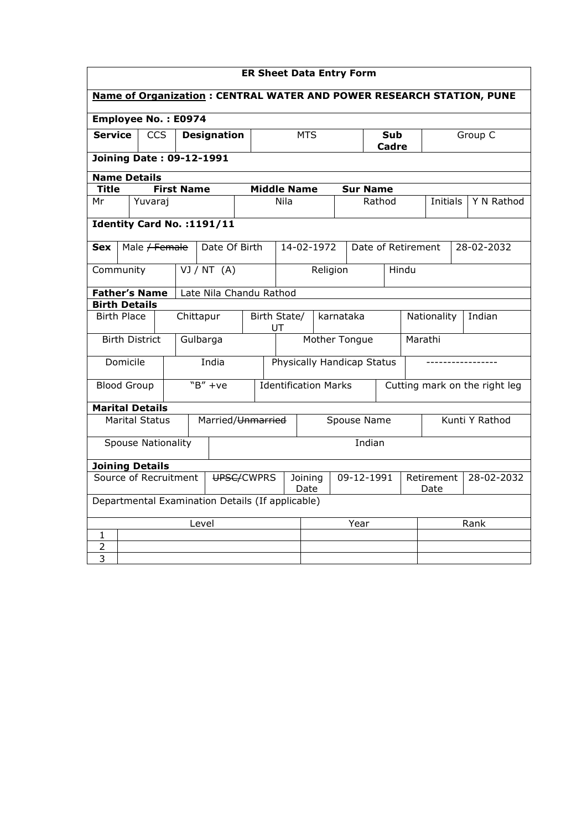| <b>ER Sheet Data Entry Form</b>                                      |                                 |         |                          |                   |                               |                    |                                                  |                    |           |                    |  |                     |                               |                    |          |            |            |
|----------------------------------------------------------------------|---------------------------------|---------|--------------------------|-------------------|-------------------------------|--------------------|--------------------------------------------------|--------------------|-----------|--------------------|--|---------------------|-------------------------------|--------------------|----------|------------|------------|
| Name of Organization: CENTRAL WATER AND POWER RESEARCH STATION, PUNE |                                 |         |                          |                   |                               |                    |                                                  |                    |           |                    |  |                     |                               |                    |          |            |            |
| Employee No.: E0974                                                  |                                 |         |                          |                   |                               |                    |                                                  |                    |           |                    |  |                     |                               |                    |          |            |            |
| <b>Service</b>                                                       |                                 |         | <b>CCS</b>               |                   |                               | <b>Designation</b> | <b>MTS</b>                                       |                    |           |                    |  | Sub<br><b>Cadre</b> |                               |                    | Group C  |            |            |
|                                                                      | <b>Joining Date: 09-12-1991</b> |         |                          |                   |                               |                    |                                                  |                    |           |                    |  |                     |                               |                    |          |            |            |
|                                                                      | <b>Name Details</b>             |         |                          |                   |                               |                    |                                                  |                    |           |                    |  |                     |                               |                    |          |            |            |
| <b>Title</b>                                                         |                                 |         |                          | <b>First Name</b> |                               |                    |                                                  | <b>Middle Name</b> |           |                    |  | <b>Sur Name</b>     |                               |                    |          |            |            |
| Mr                                                                   |                                 | Yuvaraj |                          |                   |                               |                    |                                                  | Nila               |           |                    |  | Rathod              |                               |                    | Initials |            | Y N Rathod |
| Identity Card No. : 1191/11                                          |                                 |         |                          |                   |                               |                    |                                                  |                    |           |                    |  |                     |                               |                    |          |            |            |
| <b>Sex</b>                                                           |                                 |         | Male <del>/ Female</del> |                   |                               | Date Of Birth      |                                                  |                    |           | 14-02-1972         |  |                     |                               | Date of Retirement |          | 28-02-2032 |            |
|                                                                      | Community<br>VJ/NT(A)           |         |                          |                   |                               |                    | Religion                                         |                    |           |                    |  | Hindu               |                               |                    |          |            |            |
| <b>Father's Name</b><br>Late Nila Chandu Rathod                      |                                 |         |                          |                   |                               |                    |                                                  |                    |           |                    |  |                     |                               |                    |          |            |            |
| <b>Birth Details</b>                                                 |                                 |         |                          |                   |                               |                    |                                                  |                    |           |                    |  |                     |                               |                    |          |            |            |
|                                                                      | <b>Birth Place</b><br>Chittapur |         |                          |                   | Birth State/<br>UT            |                    |                                                  |                    | karnataka |                    |  |                     | Nationality<br>Indian         |                    |          |            |            |
|                                                                      | <b>Birth District</b>           |         |                          |                   | Gulbarga                      |                    | Mother Tongue                                    |                    |           |                    |  |                     | Marathi                       |                    |          |            |            |
|                                                                      | Domicile                        |         |                          |                   | India                         |                    | Physically Handicap Status                       |                    |           |                    |  |                     |                               |                    |          |            |            |
| <b>Blood Group</b>                                                   |                                 |         |                          |                   | $``B'' + ve$                  |                    | <b>Identification Marks</b>                      |                    |           |                    |  |                     | Cutting mark on the right leg |                    |          |            |            |
| <b>Marital Details</b>                                               |                                 |         |                          |                   |                               |                    |                                                  |                    |           |                    |  |                     |                               |                    |          |            |            |
|                                                                      | <b>Marital Status</b>           |         |                          |                   |                               |                    | Married/ <del>Unmarried</del>                    | Spouse Name        |           |                    |  |                     |                               | Kunti Y Rathod     |          |            |            |
|                                                                      | <b>Spouse Nationality</b>       |         |                          |                   |                               |                    |                                                  |                    |           |                    |  | Indian              |                               |                    |          |            |            |
| <b>Joining Details</b>                                               |                                 |         |                          |                   |                               |                    |                                                  |                    |           |                    |  |                     |                               |                    |          |            |            |
| Source of Recruitment<br>UPSC/CWPRS                                  |                                 |         |                          |                   | Joining<br>09-12-1991<br>Date |                    |                                                  |                    |           | Retirement<br>Date |  | 28-02-2032          |                               |                    |          |            |            |
|                                                                      |                                 |         |                          |                   |                               |                    | Departmental Examination Details (If applicable) |                    |           |                    |  |                     |                               |                    |          |            |            |
| Level                                                                |                                 |         |                          |                   |                               |                    |                                                  |                    | Year      |                    |  |                     | Rank                          |                    |          |            |            |
| 1                                                                    |                                 |         |                          |                   |                               |                    |                                                  |                    |           |                    |  |                     |                               |                    |          |            |            |
| 2                                                                    |                                 |         |                          |                   |                               |                    |                                                  |                    |           |                    |  |                     |                               |                    |          |            |            |
| 3                                                                    |                                 |         |                          |                   |                               |                    |                                                  |                    |           |                    |  |                     |                               |                    |          |            |            |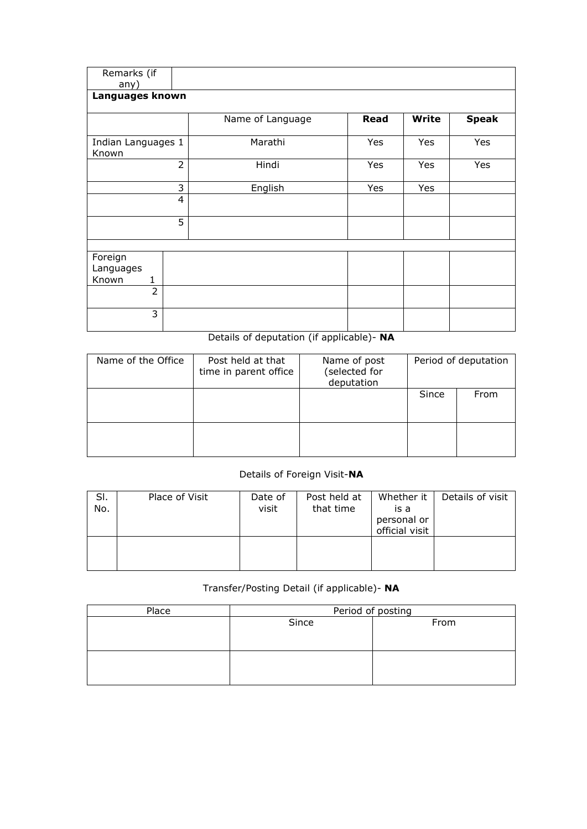| Remarks (if<br>any)                |                |                  |      |              |              |  |  |  |  |  |  |  |
|------------------------------------|----------------|------------------|------|--------------|--------------|--|--|--|--|--|--|--|
| Languages known                    |                |                  |      |              |              |  |  |  |  |  |  |  |
|                                    |                | Name of Language | Read | <b>Write</b> | <b>Speak</b> |  |  |  |  |  |  |  |
| Indian Languages 1<br>Known        |                | Marathi          | Yes  | Yes          | Yes          |  |  |  |  |  |  |  |
|                                    | $\overline{2}$ | Hindi            | Yes  | Yes          | Yes          |  |  |  |  |  |  |  |
|                                    | 3              | English          | Yes  | Yes          |              |  |  |  |  |  |  |  |
|                                    | 4              |                  |      |              |              |  |  |  |  |  |  |  |
|                                    | 5              |                  |      |              |              |  |  |  |  |  |  |  |
|                                    |                |                  |      |              |              |  |  |  |  |  |  |  |
| Foreign<br>Languages<br>Known<br>1 |                |                  |      |              |              |  |  |  |  |  |  |  |
| $\overline{2}$                     |                |                  |      |              |              |  |  |  |  |  |  |  |
| 3                                  |                |                  |      |              |              |  |  |  |  |  |  |  |

## Details of deputation (if applicable)- NA

| Name of the Office | Post held at that<br>time in parent office | Name of post<br>(selected for<br>deputation | Period of deputation |      |  |  |
|--------------------|--------------------------------------------|---------------------------------------------|----------------------|------|--|--|
|                    |                                            |                                             | Since                | From |  |  |
|                    |                                            |                                             |                      |      |  |  |

## Details of Foreign Visit-NA

| SI.<br>No. | Place of Visit | Date of<br>visit | Post held at<br>that time | Whether it<br>is a<br>personal or<br>official visit | Details of visit |
|------------|----------------|------------------|---------------------------|-----------------------------------------------------|------------------|
|            |                |                  |                           |                                                     |                  |

## Transfer/Posting Detail (if applicable)- NA

| Place | Period of posting |      |  |  |  |  |  |
|-------|-------------------|------|--|--|--|--|--|
|       | Since             | From |  |  |  |  |  |
|       |                   |      |  |  |  |  |  |
|       |                   |      |  |  |  |  |  |
|       |                   |      |  |  |  |  |  |
|       |                   |      |  |  |  |  |  |
|       |                   |      |  |  |  |  |  |